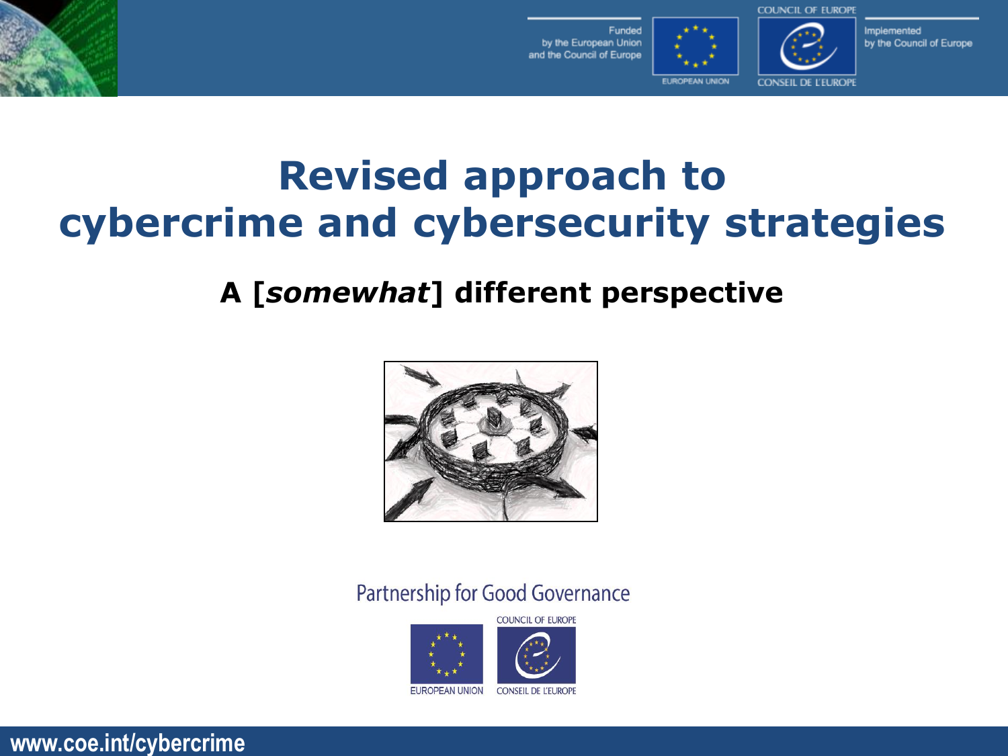

Funded by the European Union and the Council of Europe



Implemented by the Council of Europe

**EUROPEAN UNION** 

**CONSEIL DE L'EUROPI** 

## **Revised approach to cybercrime and cybersecurity strategies**

## **A [***somewhat***] different perspective**



Partnership for Good Governance

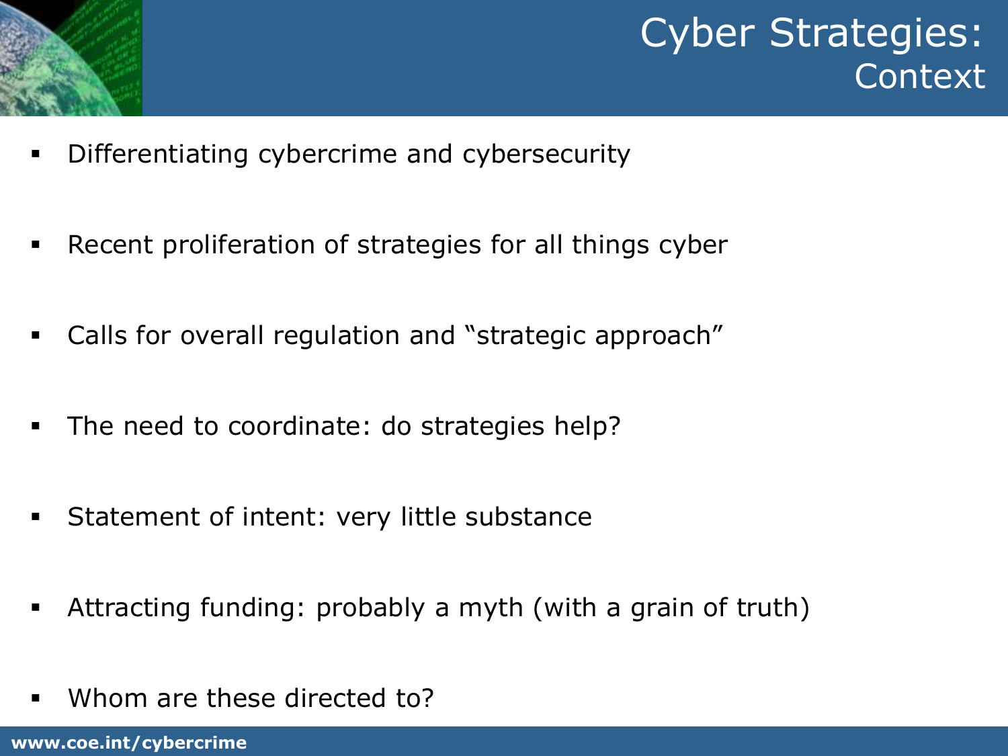

Cyber Strategies: Context

- **•** Differentiating cybercrime and cybersecurity
- **EXEC** Recent proliferation of strategies for all things cyber
- Calls for overall regulation and "strategic approach"
- The need to coordinate: do strategies help?
- Statement of intent: very little substance
- **EXED Attracting funding: probably a myth (with a grain of truth)**
- Whom are these directed to?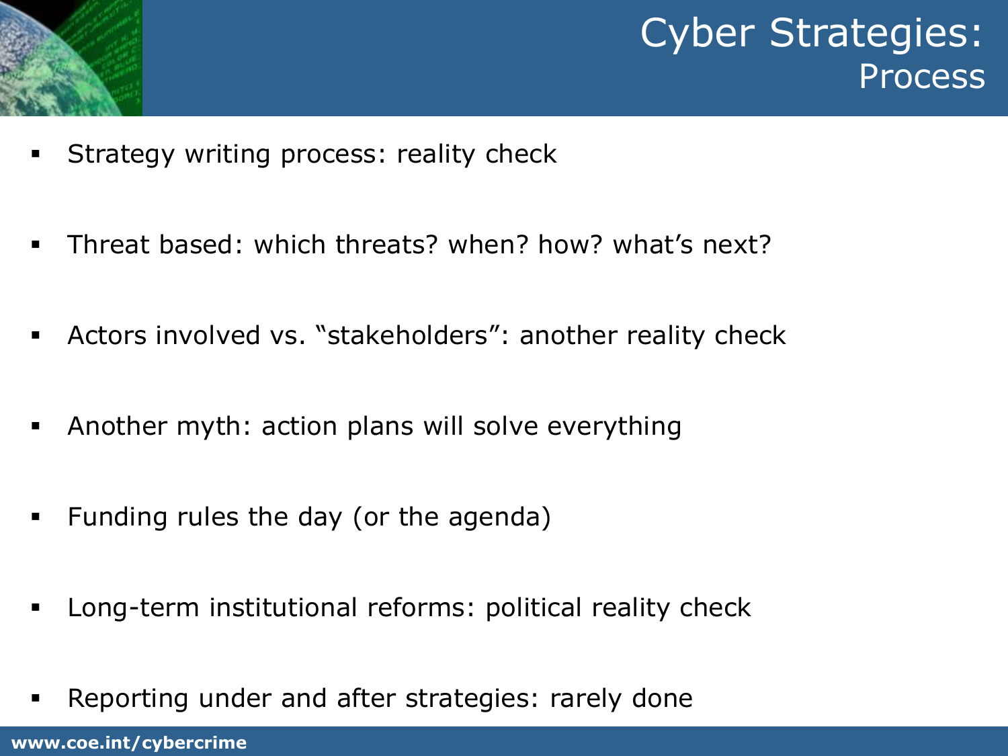

Cyber Strategies: **Process** 

- **EXECT** Strategy writing process: reality check
- Threat based: which threats? when? how? what's next?
- **EXEDERS** Involved vs. "stakeholders": another reality check
- **EXED Another myth: action plans will solve everything**
- Funding rules the day (or the agenda)
- **EXED** Long-term institutional reforms: political reality check
- **EXE** Reporting under and after strategies: rarely done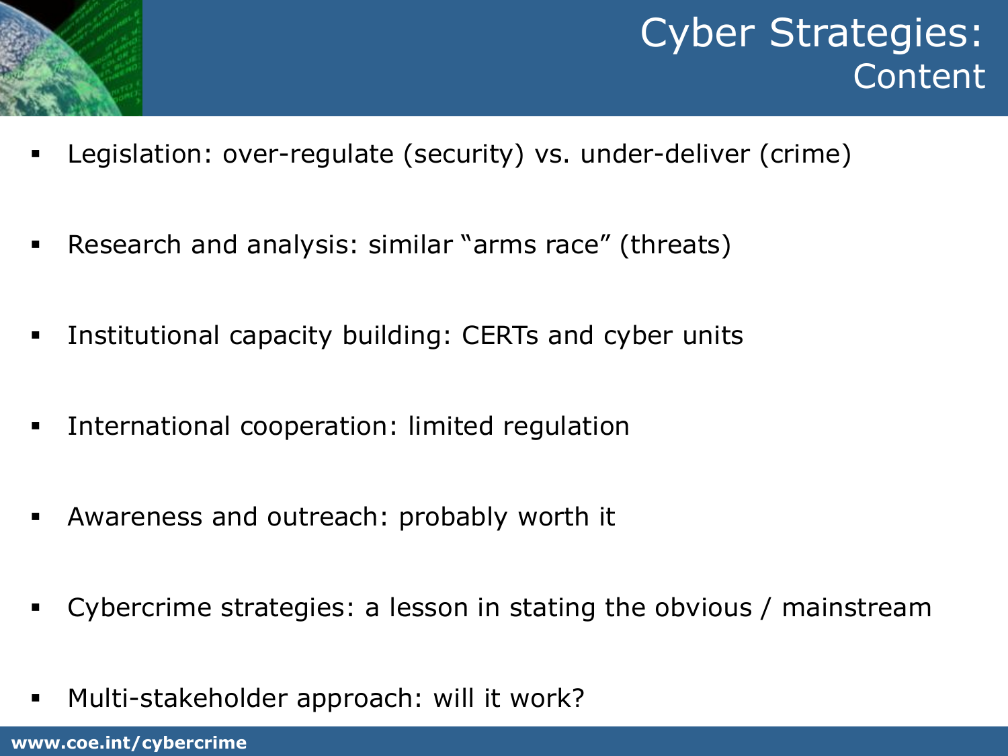

- Legislation: over-regulate (security) vs. under-deliver (crime)
- Research and analysis: similar "arms race" (threats)
- **EXTERM** Institutional capacity building: CERTs and cyber units
- **EXTE:** International cooperation: limited regulation
- Awareness and outreach: probably worth it
- Cybercrime strategies: a lesson in stating the obvious / mainstream
- Multi-stakeholder approach: will it work?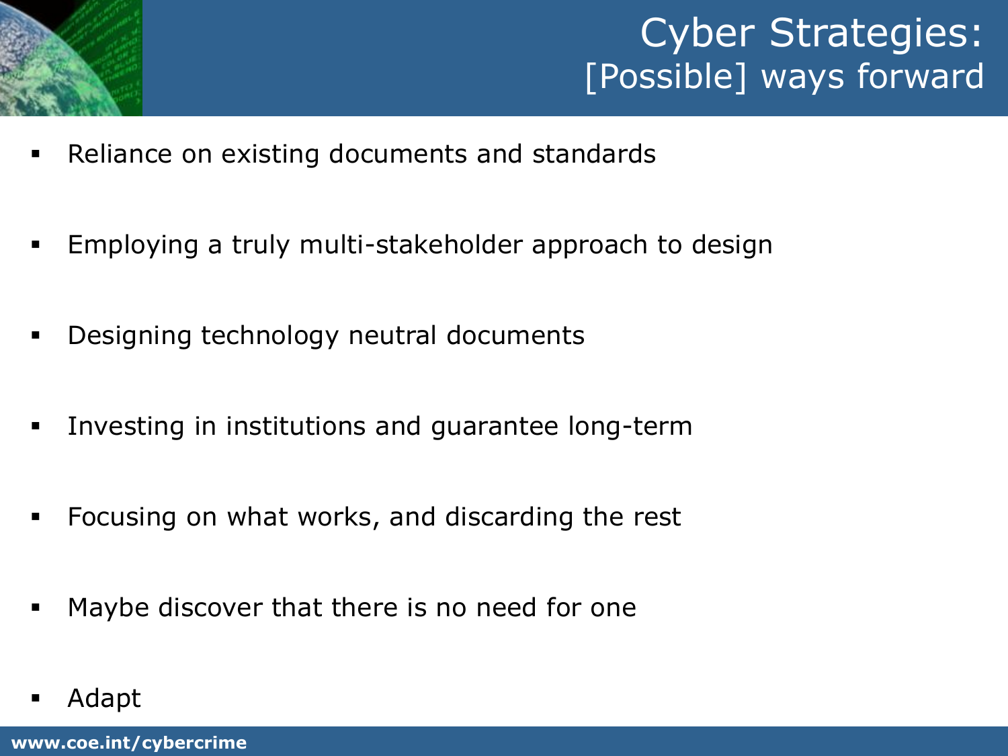

## Cyber Strategies: [Possible] ways forward

- Reliance on existing documents and standards
- Employing a truly multi-stakeholder approach to design
- **•** Designing technology neutral documents
- **EXT** Investing in institutions and guarantee long-term
- Focusing on what works, and discarding the rest
- Maybe discover that there is no need for one
- **Adapt**